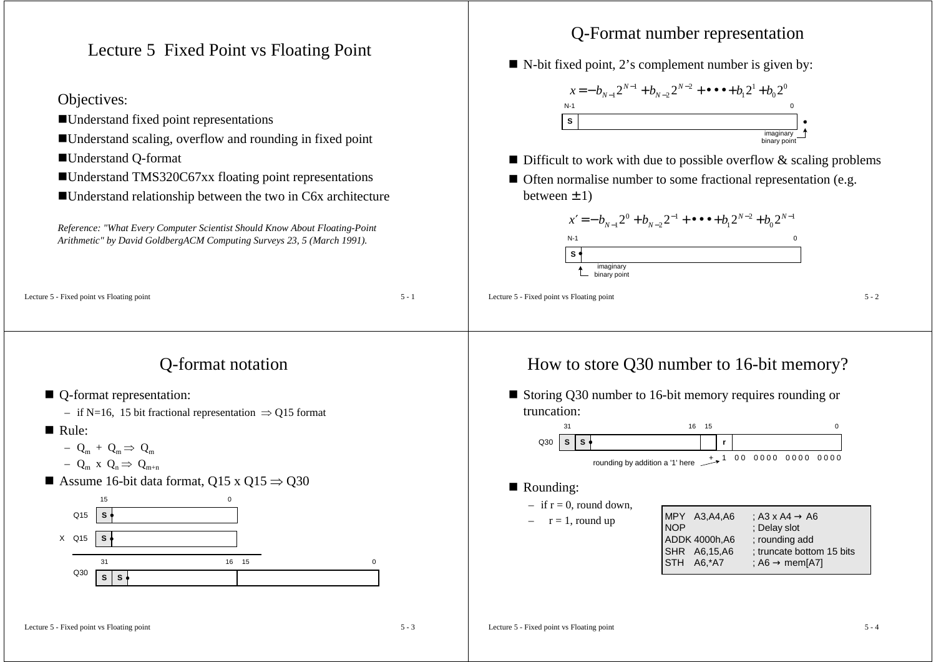Lecture 5 Fixed Point vs Floating Point

### Objectives:

- Understand fixed point representations
- Understand scaling, overflow and rounding in fixed point
- Understand Q-format
- ■Understand TMS320C67xx floating point representations
- Understand relationship between the two in C6x architecture

*Reference: "What Every Computer Scientist Should Know About Floating-Point Arithmetic" by David GoldbergACM Computing Surveys 23, 5 (March 1991).*

#### Lecture 5 - Fixed point vs Floating point  $5 - 1$

### Q-format notation

- Q-format representation:
	- if N=16, 15 bit fractional representation ⇒ Q15 format
- Rule:
	- $-$  Q<sub>m</sub> + Q<sub>m</sub>  $\Rightarrow$  Q<sub>m</sub>

$$
- Q_m x Q_n \Rightarrow Q_{m+n}
$$

Assume 16-bit data format, Q15 x Q15  $\Rightarrow$  Q30



### Q-Format number representation

■ N-bit fixed point, 2's complement number is given by:



- $\blacksquare$  Difficult to work with due to possible overflow  $\&$  scaling problems
- Often normalise number to some fractional representation (e.g. between  $\pm$  1)



Lecture 5 - Fixed point vs Floating point  $5 - 2$ 

### How to store Q30 number to 16-bit memory?





#### ■ Rounding:

- $-$  if  $r = 0$ , round down,
- $r = 1$ , round up

| MPY A3, A4, A6<br>: A3 x A4 $\rightarrow$ A6<br>: Delay slot<br><b>NOP</b><br>ADDK 4000h, A6<br>; rounding add<br>: truncate bottom 15 bits<br>SHR A6,15,A6<br>STH A6,*A7<br>: A6 $\rightarrow$ mem[A7] |
|---------------------------------------------------------------------------------------------------------------------------------------------------------------------------------------------------------|
|---------------------------------------------------------------------------------------------------------------------------------------------------------------------------------------------------------|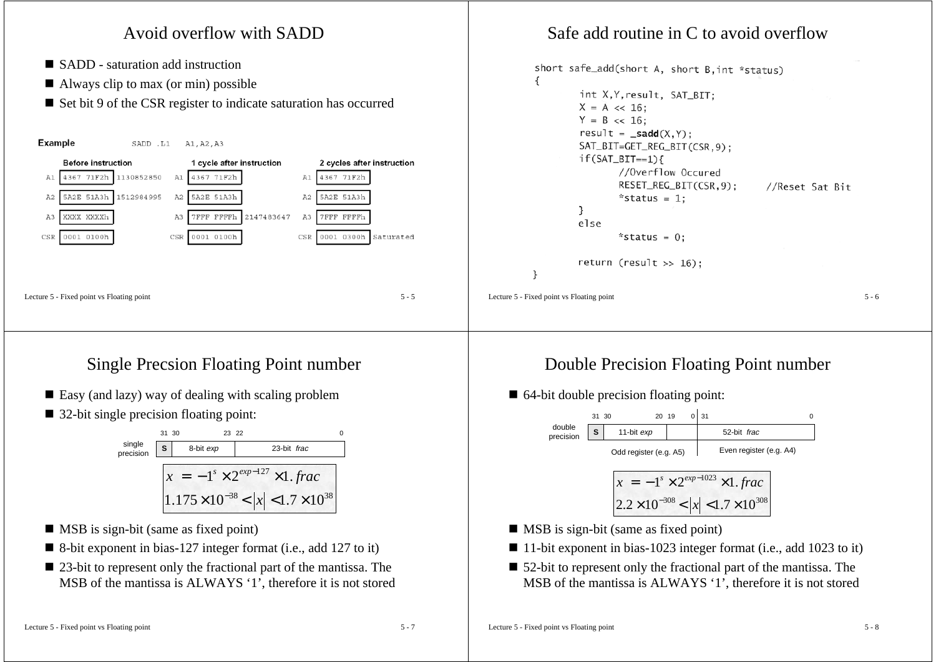

# Single Precsion Floating Point number

- Easy (and lazy) way of dealing with scaling problem
- 32-bit single precision floating point:

|                     | 31 30 | 23 22     |                                                                                                    |  |
|---------------------|-------|-----------|----------------------------------------------------------------------------------------------------|--|
| single<br>precision |       | 8-bit exp | 23-bit frac                                                                                        |  |
|                     |       |           | $x = -1^{s} \times 2^{exp-127} \times 1$ . frac<br>$ 1.175\times10^{-38} <  x  < 1.7\times10^{38}$ |  |

- **MSB** is sign-bit (same as fixed point)
- 8-bit exponent in bias-127 integer format (i.e., add 127 to it)
- 23-bit to represent only the fractional part of the mantissa. The MSB of the mantissa is ALWAYS '1', therefore it is not stored

# Double Precision Floating Point number

■ 64-bit double precision floating point:



- **MSB** is sign-bit (same as fixed point)
- 11-bit exponent in bias-1023 integer format (i.e., add 1023 to it)
- 52-bit to represent only the fractional part of the mantissa. The MSB of the mantissa is ALWAYS '1', therefore it is not stored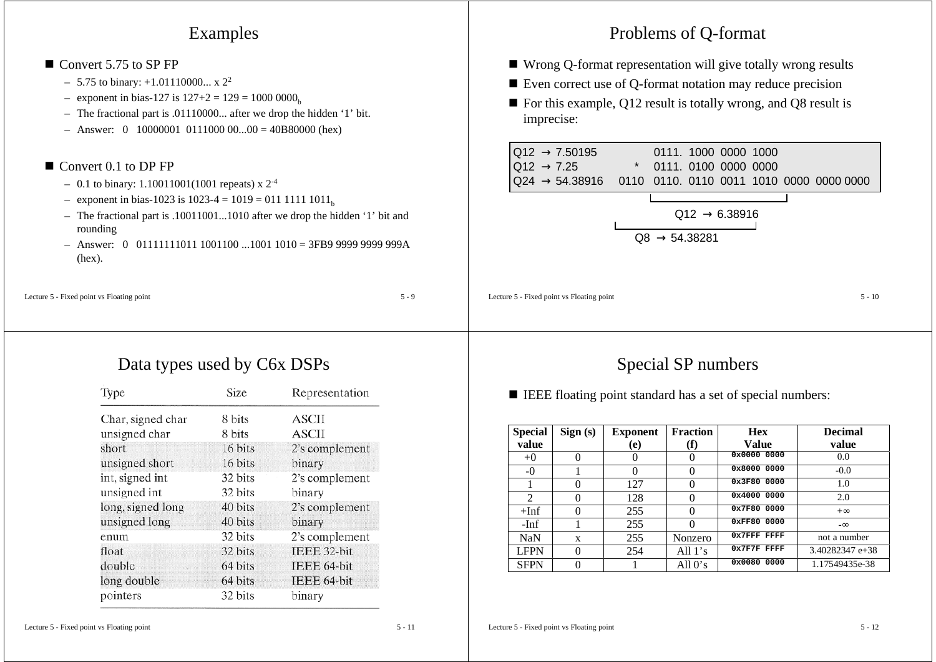### Examples

#### ■ Convert 5.75 to SP FP

- $-$  5.75 to binary: +1.01110000... x 2<sup>2</sup>
- exponent in bias-127 is  $127+2 = 129 = 1000 0000<sub>b</sub>$
- The fractional part is .01110000... after we drop the hidden '1' bit.
- $-$  Answer: 0 10000001 0111000 00...00 = 40B80000 (hex)

### ■ Convert 0.1 to DP FP

- $-$  0.1 to binary: 1.10011001(1001 repeats) x  $2^{-4}$
- exponent in bias-1023 is 1023-4 = 1019 = 011 1111 1011<sub>b</sub>
- The fractional part is .10011001...1010 after we drop the hidden '1' bit and rounding
- Answer: 0 01111111011 1001100 ...1001 1010 = 3FB9 9999 9999 999A(hex).

Lecture  $5 -$  Fixed point vs Floating point  $5 - 9$ 

# Data types used by C6x DSPs

| Type              | Size    | Representation |  |
|-------------------|---------|----------------|--|
| Char, signed char | 8 bits  | ASCII          |  |
| unsigned char     | 8 bits  | ASCII          |  |
| short             | 16 bits | 2's complement |  |
| unsigned short    | 16 bits | binary         |  |
| int, signed int   | 32 bits | 2's complement |  |
| unsigned int      | 32 bits | binary         |  |
| long, signed long | 40 bits | 2's complement |  |
| unsigned long     | 40 bits | binary         |  |
| enum              | 32 bits | 2's complement |  |
| float             | 32 bits | IEEE 32-bit    |  |
| double            | 64 bits | IEEE 64-bit    |  |
| long double       | 64 bits | IEEE 64-bit    |  |
| pointers          | 32 bits | binary         |  |

# Problems of Q-format

- Wrong Q-format representation will give totally wrong results
- Even correct use of Q-format notation may reduce precision
- For this example, Q12 result is totally wrong, and Q8 result is imprecise:





Lecture  $5 -$  Fixed point vs Floating point  $5 - 10$ 

# Special SP numbers

■ IEEE floating point standard has a set of special numbers:

| <b>Special</b> | Sign(s)           | <b>Exponent</b> | <b>Fraction</b> | <b>Hex</b>    | <b>Decimal</b>  |
|----------------|-------------------|-----------------|-----------------|---------------|-----------------|
| value          |                   | (e)             | (f)             | Value         | value           |
| $+0$           | 0                 | O               | 0               | 0x0000 0000   | 0.0             |
| -0             |                   |                 |                 | 0x8000 0000   | $-0.0$          |
|                | 0                 | 127             | 0               | 0x3F80 0000   | 1.0             |
| $\mathfrak{D}$ | 0                 | 128             | 0               | 0x4000 0000   | 2.0             |
| $+Inf$         | $\mathbf{\Omega}$ | 255             | 0               | 0x7F80 0000   | $+\infty$       |
| $-Inf$         |                   | 255             |                 | 0xFF80 0000   | $-\infty$       |
| NaN            | X                 | 255             | Nonzero         | 0x7FFF FFFF   | not a number    |
| <b>LFPN</b>    | 0                 | 254             | All $1's$       | $0x7F7F$ FFFF | 3.40282347 e+38 |
| <b>SFPN</b>    |                   |                 | All $0's$       | 0x0080 0000   | 1.17549435e-38  |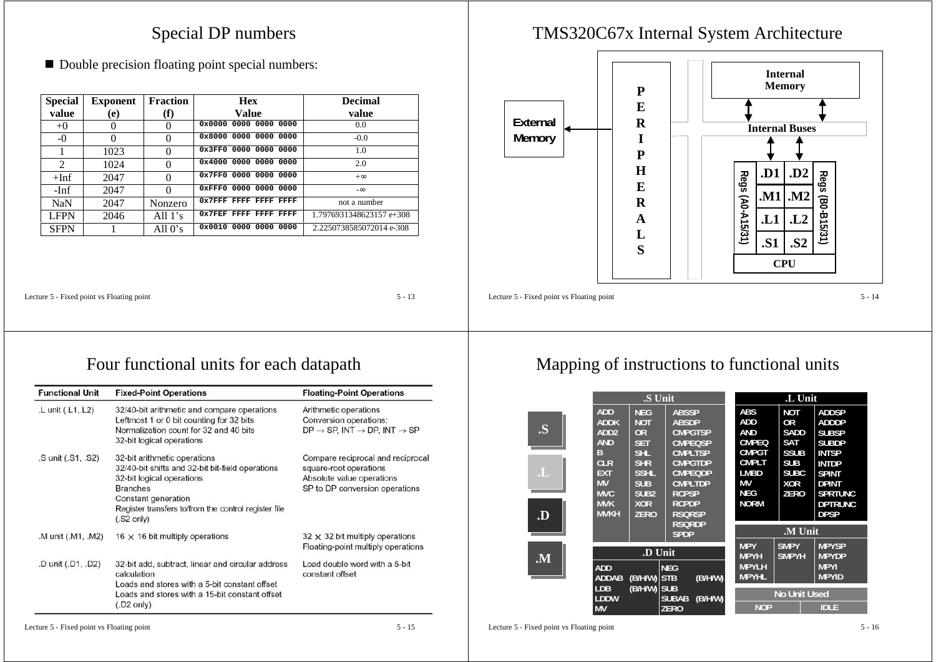### Special DP numbers

■ Double precision floating point special numbers:

| <b>Special</b> | <b>Exponent</b> | <b>Fraction</b> | <b>Hex</b>                     | <b>Decimal</b>           |
|----------------|-----------------|-----------------|--------------------------------|--------------------------|
| value          | (e)             | (f)             | Value                          | value                    |
| $+0$           | O               | $\theta$        | $0 \times 0000$ 0000 0000 0000 | 0.0                      |
| $-0$           | $\Omega$        | $\Omega$        | 0x8000 0000 0000 0000          | $-0.0$                   |
|                | 1023            | $\Omega$        | 0x3FF0 0000 0000 0000          | 1.0                      |
| 2              | 1024            | $\Omega$        | 0x4000 0000 0000 0000          | 2.0                      |
| $+Inf$         | 2047            | $\Omega$        | 0x7FF0 0000 0000 0000          | $+\infty$                |
| -Inf           | 2047            | $\Omega$        | 0xFFF0 0000 0000 0000          | $-\infty$                |
| <b>NaN</b>     | 2047            | Nonzero         | 0x7FFF FFFF FFFF FFFF          | not a number             |
| <b>LFPN</b>    | 2046            | All $1's$       | $0x7$ FRF FFFF FFFF FFFF       | 1.7976931348623157 e+308 |
| <b>SFPN</b>    |                 | All $0's$       | 0x0010 0000 0000 0000          | 2.2250738585072014 e-308 |

### TMS320C67x Internal System Architecture



Lecture 5 - Fixed point vs Floating point 5 - 13

## Four functional units for each datapath

| <b>Functional Unit</b> | <b>Fixed-Point Operations</b>                                                                                                                                                                                                           | <b>Floating-Point Operations</b>                                                                                           |  |  |
|------------------------|-----------------------------------------------------------------------------------------------------------------------------------------------------------------------------------------------------------------------------------------|----------------------------------------------------------------------------------------------------------------------------|--|--|
| .L unit (.L1, L2)      | 32/40-bit arithmetic and compare operations<br>Leftmost 1 or 0 bit counting for 32 bits<br>Normalization count for 32 and 40 bits<br>32-bit logical operations                                                                          | Arithmetic operations<br>Conversion operations:<br>$DP \rightarrow SP$ , INT $\rightarrow DP$ , INT $\rightarrow SP$       |  |  |
| .S unit (.S1, .S2)     | 32-bit arithmetic operations<br>32/40-bit shifts and 32-bit bit-field operations<br>32-bit logical operations<br><b>Branches</b><br>Constant generation<br>Register transfers to/from the control register file<br>$(.S2 \text{ only})$ | Compare reciprocal and reciprocal<br>square-root operations<br>Absolute value operations<br>SP to DP conversion operations |  |  |
| .M unit (.M1, .M2)     | 16 $\times$ 16 bit multiply operations                                                                                                                                                                                                  | $32 \times 32$ bit multiply operations<br>Floating-point multiply operations                                               |  |  |
| .D unit (.D1, .D2)     | 32-bit add, subtract, linear and circular address<br>calculation<br>Loads and stores with a 5-bit constant offset<br>Loads and stores with a 15-bit constant offset<br>$(0.02 \text{ only})$                                            | Load double word with a 5-bit<br>constant offset                                                                           |  |  |

# Mapping of instructions to functional units

|    | .S Unit                                    |                                 |                                                       | ≘<br><u>, , </u> mi                                                                                                                                                                                                                                                                                                                                                                                 |                                  |                                            |
|----|--------------------------------------------|---------------------------------|-------------------------------------------------------|-----------------------------------------------------------------------------------------------------------------------------------------------------------------------------------------------------------------------------------------------------------------------------------------------------------------------------------------------------------------------------------------------------|----------------------------------|--------------------------------------------|
|    | $\overline{A}$<br>AUU                      | $\mathbf{m}$<br>机自身             | ABSSP                                                 | 71<br>явэ                                                                                                                                                                                                                                                                                                                                                                                           | NOT                              | ADDSE                                      |
|    | EADDR                                      | $1.77 - 7$<br>- - - - -<br>≕∷≂≞ | <b>ABSDP</b>                                          | .<br>71DD                                                                                                                                                                                                                                                                                                                                                                                           | FАE<br>-or                       | 7ADDDE                                     |
| S  | <b>BARRY</b><br>-------                    | <b>TAB</b><br>┅<br>----         | <b>CMPGTSP</b>                                        | <b>BAR</b> 19<br>,,,,,,,,                                                                                                                                                                                                                                                                                                                                                                           | ean<br>للالتان                   | <b>SUBSP</b>                               |
|    | -----<br><br>- AIVIJ                       | $\overline{1}$<br>---<br>₩.     | <b>CMPEQSP</b>                                        | <b>CAMBLES</b><br>151112120                                                                                                                                                                                                                                                                                                                                                                         | ġ<br>SAI                         | emana<br>эиыл                              |
|    | - 1                                        | <b>TO THE</b><br>ЭĦ             | <b>CMPLTSP</b>                                        | CMPGT                                                                                                                                                                                                                                                                                                                                                                                               | eem<br>้ววน                      | <b>INTSP</b>                               |
|    | - 11 E B<br>EGER                           | <b>SALE</b><br>31 R             | <b>CMPGTDP</b>                                        | CMPE.                                                                                                                                                                                                                                                                                                                                                                                               | <b>SUB</b>                       | <b>INTDP</b>                               |
|    | -EXT                                       | <b>CCET</b><br>.                | <b>CMPEQDP</b>                                        | <b>EMBD</b>                                                                                                                                                                                                                                                                                                                                                                                         | SUBC                             | SPINI                                      |
|    | $-1.77$<br>$-17177$<br><u> aww</u><br>---- | $e_{HD}$<br>эUВ<br>___          | <b>CMPLTDP</b>                                        | -888<br>-ww                                                                                                                                                                                                                                                                                                                                                                                         | XOR                              | <b>DPINT</b>                               |
|    | $-71777$<br>⊣พv∪                           | .<br>элэг                       | <b>RCPSP</b>                                          | <b>NEG</b><br>$\cdots$                                                                                                                                                                                                                                                                                                                                                                              | <b>ZERO</b>                      | $\epsilon$ matrix<br>эркномо               |
|    | $= 7.1777$<br>-------<br>----<br>7.7777777 | T A<br>----<br>フィマティッ           | <b>RCPDP</b>                                          | ENORM                                                                                                                                                                                                                                                                                                                                                                                               |                                  | <b>BASKER</b><br><b>STAR</b><br>IV EIKVING |
| .D | EWWARE!                                    | <b>ZERO</b>                     | RSQRSP                                                |                                                                                                                                                                                                                                                                                                                                                                                                     |                                  | DPSP                                       |
|    |                                            |                                 | RSQRDP                                                |                                                                                                                                                                                                                                                                                                                                                                                                     | ---<br><u>.VLUml</u>             |                                            |
|    |                                            |                                 | <b>SPDP</b>                                           |                                                                                                                                                                                                                                                                                                                                                                                                     |                                  |                                            |
|    | $- - -$<br>==<br>n wasan kasa<br>.         |                                 |                                                       | <b>NPY</b><br>$\overline{ }$ , $\overline{ }$ , $\overline{ }$ , $\overline{ }$ , $\overline{ }$ , $\overline{ }$ , $\overline{ }$ , $\overline{ }$ , $\overline{ }$ , $\overline{ }$ , $\overline{ }$ , $\overline{ }$ , $\overline{ }$ , $\overline{ }$ , $\overline{ }$ , $\overline{ }$ , $\overline{ }$ , $\overline{ }$ , $\overline{ }$ , $\overline{ }$ , $\overline{ }$ , $\overline{ }$ , | <b>SMPY</b><br><b>Experience</b> | <b>MPYSP</b>                               |
| .M |                                            |                                 |                                                       | -882445                                                                                                                                                                                                                                                                                                                                                                                             | <b>BANKATA</b>                   | <b>MPYDP</b>                               |
|    |                                            |                                 |                                                       |                                                                                                                                                                                                                                                                                                                                                                                                     |                                  |                                            |
|    | <b>TARB</b><br>,,,,,,                      |                                 | <b>NEC</b><br>.                                       | <b>MPYLE</b><br>.                                                                                                                                                                                                                                                                                                                                                                                   |                                  | <b>MPYI</b>                                |
|    | <b>ABBA</b><br>≕<br>HUUHD                  | (B/H/W) STB                     | <b>/D/LIAM</b><br>16/11/191                           | - MPYHI                                                                                                                                                                                                                                                                                                                                                                                             |                                  | <b>MPYID</b>                               |
|    | <b>TDB</b><br>-----                        | <b>TRAHAM SHR</b><br>Б/Н/W) ЭU  | _____<br>_______                                      |                                                                                                                                                                                                                                                                                                                                                                                                     | . . <u>.</u>                     |                                            |
|    | - - - - - - -<br>化切开<br><b>BRY</b><br>-    |                                 | .<br>,,,,,,,,,,,,<br><b>DUDAD</b><br>-1541/WH<br>ZERO | <b>BATARET</b>                                                                                                                                                                                                                                                                                                                                                                                      | No Unit Used<br>--               | ≡⊞∩≡≒<br>-                                 |

Lecture 5 - Fixed point vs Floating point 5 - 16